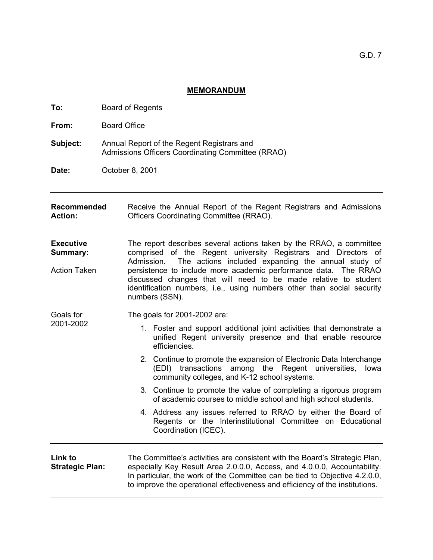## **MEMORANDUM**

| To:                               | <b>Board of Regents</b>                                                                         |                                                                                                                                                                                                                                                                                                                      |                                                                                                                                                                                  |  |
|-----------------------------------|-------------------------------------------------------------------------------------------------|----------------------------------------------------------------------------------------------------------------------------------------------------------------------------------------------------------------------------------------------------------------------------------------------------------------------|----------------------------------------------------------------------------------------------------------------------------------------------------------------------------------|--|
| From:                             | <b>Board Office</b>                                                                             |                                                                                                                                                                                                                                                                                                                      |                                                                                                                                                                                  |  |
| Subject:                          | Annual Report of the Regent Registrars and<br>Admissions Officers Coordinating Committee (RRAO) |                                                                                                                                                                                                                                                                                                                      |                                                                                                                                                                                  |  |
| Date:                             | October 8, 2001                                                                                 |                                                                                                                                                                                                                                                                                                                      |                                                                                                                                                                                  |  |
| Recommended<br><b>Action:</b>     |                                                                                                 | Receive the Annual Report of the Regent Registrars and Admissions<br><b>Officers Coordinating Committee (RRAO).</b>                                                                                                                                                                                                  |                                                                                                                                                                                  |  |
| <b>Executive</b><br>Summary:      |                                                                                                 | The report describes several actions taken by the RRAO, a committee<br>comprised of the Regent university Registrars and Directors of<br>The actions included expanding the annual study of<br>Admission.                                                                                                            |                                                                                                                                                                                  |  |
| <b>Action Taken</b>               |                                                                                                 | persistence to include more academic performance data. The RRAO<br>discussed changes that will need to be made relative to student<br>identification numbers, i.e., using numbers other than social security<br>numbers (SSN).                                                                                       |                                                                                                                                                                                  |  |
| Goals for                         |                                                                                                 | The goals for 2001-2002 are:                                                                                                                                                                                                                                                                                         |                                                                                                                                                                                  |  |
| 2001-2002                         |                                                                                                 |                                                                                                                                                                                                                                                                                                                      | 1. Foster and support additional joint activities that demonstrate a<br>unified Regent university presence and that enable resource<br>efficiencies.                             |  |
|                                   |                                                                                                 |                                                                                                                                                                                                                                                                                                                      | 2. Continue to promote the expansion of Electronic Data Interchange<br>(EDI) transactions among the Regent universities,<br>lowa<br>community colleges, and K-12 school systems. |  |
|                                   |                                                                                                 |                                                                                                                                                                                                                                                                                                                      | 3. Continue to promote the value of completing a rigorous program<br>of academic courses to middle school and high school students.                                              |  |
|                                   |                                                                                                 |                                                                                                                                                                                                                                                                                                                      | 4. Address any issues referred to RRAO by either the Board of<br>Regents or the Interinstitutional Committee on Educational<br>Coordination (ICEC).                              |  |
| Link to<br><b>Strategic Plan:</b> |                                                                                                 | The Committee's activities are consistent with the Board's Strategic Plan,<br>especially Key Result Area 2.0.0.0, Access, and 4.0.0.0, Accountability.<br>In particular, the work of the Committee can be tied to Objective 4.2.0.0,<br>to improve the operational effectiveness and efficiency of the institutions. |                                                                                                                                                                                  |  |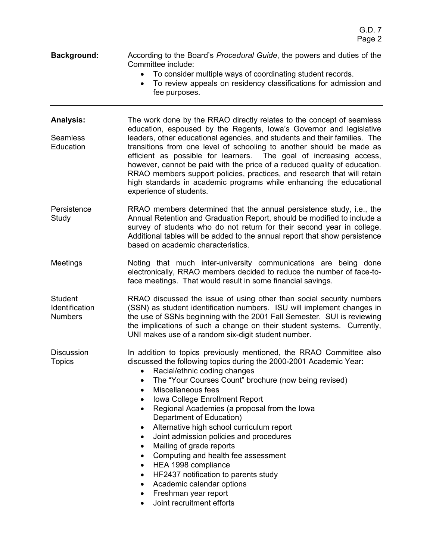- **Background:** According to the Board's *Procedural Guide*, the powers and duties of the Committee include:
	- To consider multiple ways of coordinating student records.
	- To review appeals on residency classifications for admission and fee purposes.
- **Analysis:**  Seamless **Education** The work done by the RRAO directly relates to the concept of seamless education, espoused by the Regents, Iowa's Governor and legislative leaders, other educational agencies, and students and their families. The transitions from one level of schooling to another should be made as efficient as possible for learners. The goal of increasing access, however, cannot be paid with the price of a reduced quality of education. RRAO members support policies, practices, and research that will retain high standards in academic programs while enhancing the educational experience of students.
- **Persistence** Study RRAO members determined that the annual persistence study, i.e., the Annual Retention and Graduation Report, should be modified to include a survey of students who do not return for their second year in college. Additional tables will be added to the annual report that show persistence based on academic characteristics.
- Meetings Noting that much inter-university communications are being done electronically, RRAO members decided to reduce the number of face-toface meetings. That would result in some financial savings.

**Student Identification** Numbers RRAO discussed the issue of using other than social security numbers (SSN) as student identification numbers. ISU will implement changes in the use of SSNs beginning with the 2001 Fall Semester. SUI is reviewing the implications of such a change on their student systems. Currently, UNI makes use of a random six-digit student number.

**Discussion Topics** In addition to topics previously mentioned, the RRAO Committee also discussed the following topics during the 2000-2001 Academic Year:

- Racial/ethnic coding changes
- The "Your Courses Count" brochure (now being revised)
- Miscellaneous fees
- Iowa College Enrollment Report
- Regional Academies (a proposal from the Iowa Department of Education)
- Alternative high school curriculum report
- Joint admission policies and procedures
- Mailing of grade reports
- Computing and health fee assessment
- HEA 1998 compliance
- HF2437 notification to parents study
- Academic calendar options
- Freshman year report
- Joint recruitment efforts